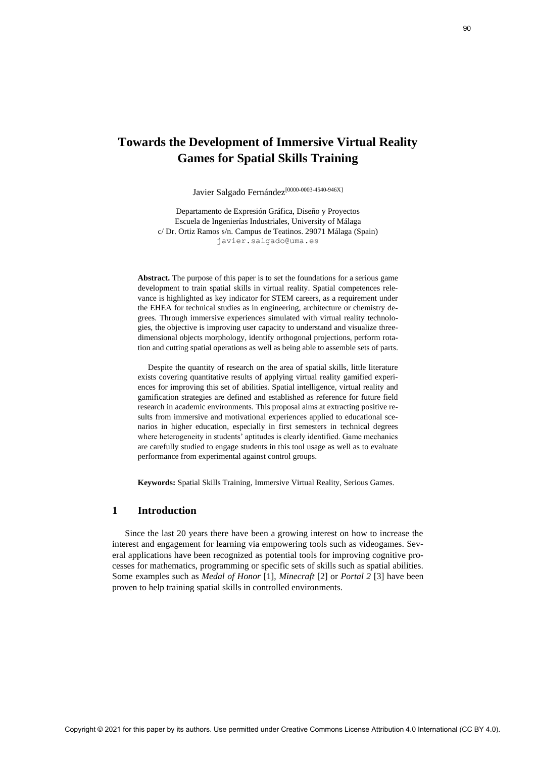# **Towards the Development of Immersive Virtual Reality Games for Spatial Skills Training**

Javier Salgado Fernández<sup>[0000-0003-4540-946X]</sup>

Departamento de Expresión Gráfica, Diseño y Proyectos Escuela de Ingenierías Industriales, University of Málaga c/ Dr. Ortiz Ramos s/n. Campus de Teatinos. 29071 Málaga (Spain) javier.salgado@uma.es

**Abstract.** The purpose of this paper is to set the foundations for a serious game development to train spatial skills in virtual reality. Spatial competences relevance is highlighted as key indicator for STEM careers, as a requirement under the EHEA for technical studies as in engineering, architecture or chemistry degrees. Through immersive experiences simulated with virtual reality technologies, the objective is improving user capacity to understand and visualize threedimensional objects morphology, identify orthogonal projections, perform rotation and cutting spatial operations as well as being able to assemble sets of parts.

Despite the quantity of research on the area of spatial skills, little literature exists covering quantitative results of applying virtual reality gamified experiences for improving this set of abilities. Spatial intelligence, virtual reality and gamification strategies are defined and established as reference for future field research in academic environments. This proposal aims at extracting positive results from immersive and motivational experiences applied to educational scenarios in higher education, especially in first semesters in technical degrees where heterogeneity in students' aptitudes is clearly identified. Game mechanics are carefully studied to engage students in this tool usage as well as to evaluate performance from experimental against control groups. Covered Steven Dependent of Trainersive Virtual Reality<br>
Corners for Spatial Skills Training<br>  $\lambda_{\text{rel}}$  is a Subset Franchic Commons Creative Commons Creative Commons Creative Commons Creative Commons Creative Commons Cr

**Keywords:** Spatial Skills Training, Immersive Virtual Reality, Serious Games.

# **1 Introduction**

Since the last 20 years there have been a growing interest on how to increase the interest and engagement for learning via empowering tools such as videogames. Several applications have been recognized as potential tools for improving cognitive processes for mathematics, programming or specific sets of skills such as spatial abilities. Some examples such as *Medal of Honor* [1], *Minecraft* [2] or *Portal 2* [3] have been proven to help training spatial skills in controlled environments.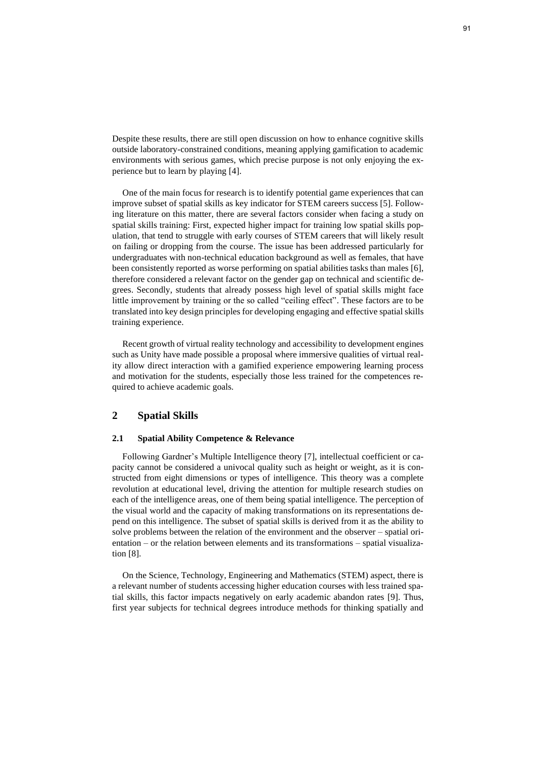Despite these results, there are still open discussion on how to enhance cognitive skills outside laboratory-constrained conditions, meaning applying gamification to academic environments with serious games, which precise purpose is not only enjoying the experience but to learn by playing [4].

One of the main focus for research is to identify potential game experiences that can improve subset of spatial skills as key indicator for STEM careers success [5]. Following literature on this matter, there are several factors consider when facing a study on spatial skills training: First, expected higher impact for training low spatial skills population, that tend to struggle with early courses of STEM careers that will likely result on failing or dropping from the course. The issue has been addressed particularly for undergraduates with non-technical education background as well as females, that have been consistently reported as worse performing on spatial abilities tasks than males [6], therefore considered a relevant factor on the gender gap on technical and scientific degrees. Secondly, students that already possess high level of spatial skills might face little improvement by training or the so called "ceiling effect". These factors are to be translated into key design principles for developing engaging and effective spatial skills training experience.

Recent growth of virtual reality technology and accessibility to development engines such as Unity have made possible a proposal where immersive qualities of virtual reality allow direct interaction with a gamified experience empowering learning process and motivation for the students, especially those less trained for the competences required to achieve academic goals.

### **2 Spatial Skills**

### **2.1 Spatial Ability Competence & Relevance**

Following Gardner's Multiple Intelligence theory [7], intellectual coefficient or capacity cannot be considered a univocal quality such as height or weight, as it is constructed from eight dimensions or types of intelligence. This theory was a complete revolution at educational level, driving the attention for multiple research studies on each of the intelligence areas, one of them being spatial intelligence. The perception of the visual world and the capacity of making transformations on its representations depend on this intelligence. The subset of spatial skills is derived from it as the ability to solve problems between the relation of the environment and the observer – spatial orientation – or the relation between elements and its transformations – spatial visualization [8].

On the Science, Technology, Engineering and Mathematics (STEM) aspect, there is a relevant number of students accessing higher education courses with less trained spatial skills, this factor impacts negatively on early academic abandon rates [9]. Thus, first year subjects for technical degrees introduce methods for thinking spatially and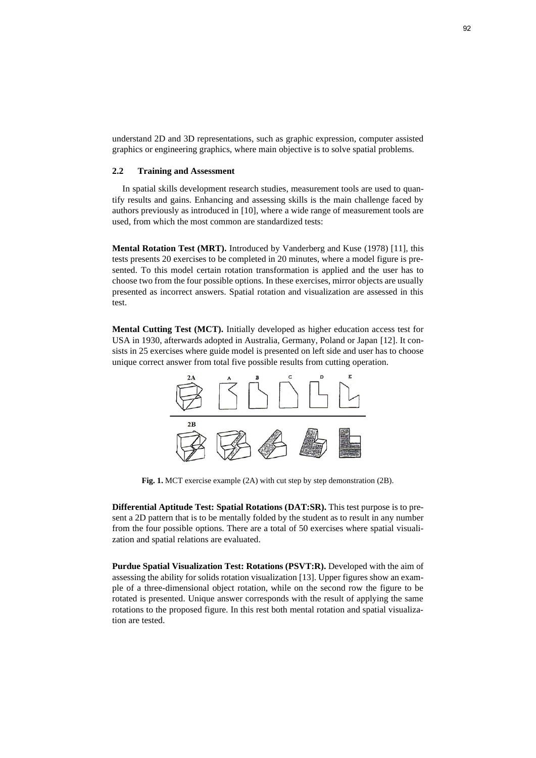understand 2D and 3D representations, such as graphic expression, computer assisted graphics or engineering graphics, where main objective is to solve spatial problems.

### **2.2 Training and Assessment**

In spatial skills development research studies, measurement tools are used to quantify results and gains. Enhancing and assessing skills is the main challenge faced by authors previously as introduced in [10], where a wide range of measurement tools are used, from which the most common are standardized tests:

**Mental Rotation Test (MRT).** Introduced by Vanderberg and Kuse (1978) [11], this tests presents 20 exercises to be completed in 20 minutes, where a model figure is presented. To this model certain rotation transformation is applied and the user has to choose two from the four possible options. In these exercises, mirror objects are usually presented as incorrect answers. Spatial rotation and visualization are assessed in this test.

**Mental Cutting Test (MCT).** Initially developed as higher education access test for USA in 1930, afterwards adopted in Australia, Germany, Poland or Japan [12]. It consists in 25 exercises where guide model is presented on left side and user has to choose unique correct answer from total five possible results from cutting operation.



**Fig. 1.** MCT exercise example (2A) with cut step by step demonstration (2B).

**Differential Aptitude Test: Spatial Rotations (DAT:SR).** This test purpose is to present a 2D pattern that is to be mentally folded by the student as to result in any number from the four possible options. There are a total of 50 exercises where spatial visualization and spatial relations are evaluated.

**Purdue Spatial Visualization Test: Rotations (PSVT:R).** Developed with the aim of assessing the ability for solids rotation visualization [13]. Upper figures show an example of a three-dimensional object rotation, while on the second row the figure to be rotated is presented. Unique answer corresponds with the result of applying the same rotations to the proposed figure. In this rest both mental rotation and spatial visualization are tested.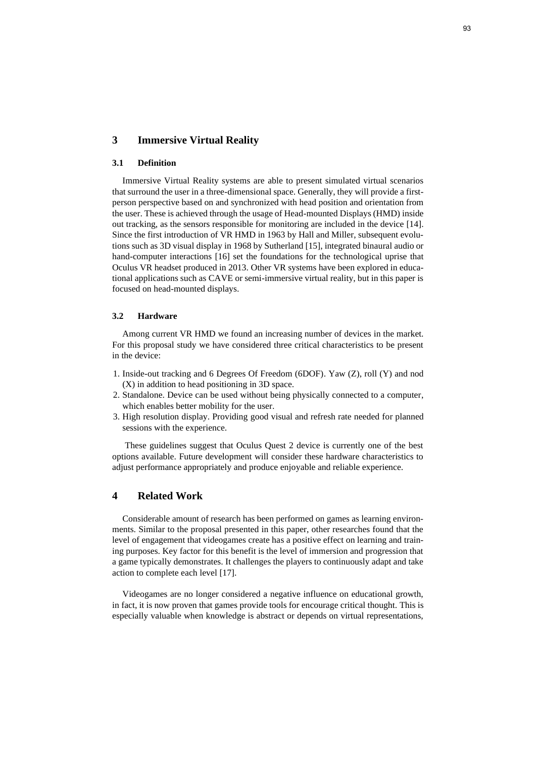# **3 Immersive Virtual Reality**

### **3.1 Definition**

Immersive Virtual Reality systems are able to present simulated virtual scenarios that surround the user in a three-dimensional space. Generally, they will provide a firstperson perspective based on and synchronized with head position and orientation from the user. These is achieved through the usage of Head-mounted Displays (HMD) inside out tracking, as the sensors responsible for monitoring are included in the device [14]. Since the first introduction of VR HMD in 1963 by Hall and Miller, subsequent evolutions such as 3D visual display in 1968 by Sutherland [15], integrated binaural audio or hand-computer interactions [16] set the foundations for the technological uprise that Oculus VR headset produced in 2013. Other VR systems have been explored in educational applications such as CAVE or semi-immersive virtual reality, but in this paper is focused on head-mounted displays.

#### **3.2 Hardware**

Among current VR HMD we found an increasing number of devices in the market. For this proposal study we have considered three critical characteristics to be present in the device:

- 1. Inside-out tracking and 6 Degrees Of Freedom (6DOF). Yaw (Z), roll (Y) and nod (X) in addition to head positioning in 3D space.
- 2. Standalone. Device can be used without being physically connected to a computer, which enables better mobility for the user.
- 3. High resolution display. Providing good visual and refresh rate needed for planned sessions with the experience.

These guidelines suggest that Oculus Quest 2 device is currently one of the best options available. Future development will consider these hardware characteristics to adjust performance appropriately and produce enjoyable and reliable experience.

# **4 Related Work**

Considerable amount of research has been performed on games as learning environments. Similar to the proposal presented in this paper, other researches found that the level of engagement that videogames create has a positive effect on learning and training purposes. Key factor for this benefit is the level of immersion and progression that a game typically demonstrates. It challenges the players to continuously adapt and take action to complete each level [17].

Videogames are no longer considered a negative influence on educational growth, in fact, it is now proven that games provide tools for encourage critical thought. This is especially valuable when knowledge is abstract or depends on virtual representations,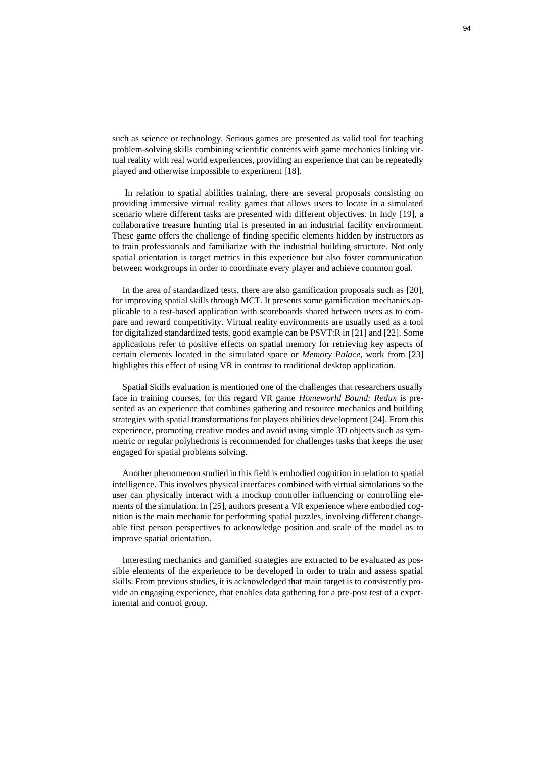such as science or technology. Serious games are presented as valid tool for teaching problem-solving skills combining scientific contents with game mechanics linking virtual reality with real world experiences, providing an experience that can be repeatedly played and otherwise impossible to experiment [18].

In relation to spatial abilities training, there are several proposals consisting on providing immersive virtual reality games that allows users to locate in a simulated scenario where different tasks are presented with different objectives. In Indy [19], a collaborative treasure hunting trial is presented in an industrial facility environment. These game offers the challenge of finding specific elements hidden by instructors as to train professionals and familiarize with the industrial building structure. Not only spatial orientation is target metrics in this experience but also foster communication between workgroups in order to coordinate every player and achieve common goal.

In the area of standardized tests, there are also gamification proposals such as [20], for improving spatial skills through MCT. It presents some gamification mechanics applicable to a test-based application with scoreboards shared between users as to compare and reward competitivity. Virtual reality environments are usually used as a tool for digitalized standardized tests, good example can be PSVT:R in [21] and [22]. Some applications refer to positive effects on spatial memory for retrieving key aspects of certain elements located in the simulated space or *Memory Palace*, work from [23] highlights this effect of using VR in contrast to traditional desktop application.

Spatial Skills evaluation is mentioned one of the challenges that researchers usually face in training courses, for this regard VR game *Homeworld Bound: Redux* is presented as an experience that combines gathering and resource mechanics and building strategies with spatial transformations for players abilities development [24]. From this experience, promoting creative modes and avoid using simple 3D objects such as symmetric or regular polyhedrons is recommended for challenges tasks that keeps the user engaged for spatial problems solving.

Another phenomenon studied in this field is embodied cognition in relation to spatial intelligence. This involves physical interfaces combined with virtual simulations so the user can physically interact with a mockup controller influencing or controlling elements of the simulation. In [25], authors present a VR experience where embodied cognition is the main mechanic for performing spatial puzzles, involving different changeable first person perspectives to acknowledge position and scale of the model as to improve spatial orientation.

Interesting mechanics and gamified strategies are extracted to be evaluated as possible elements of the experience to be developed in order to train and assess spatial skills. From previous studies, it is acknowledged that main target is to consistently provide an engaging experience, that enables data gathering for a pre-post test of a experimental and control group.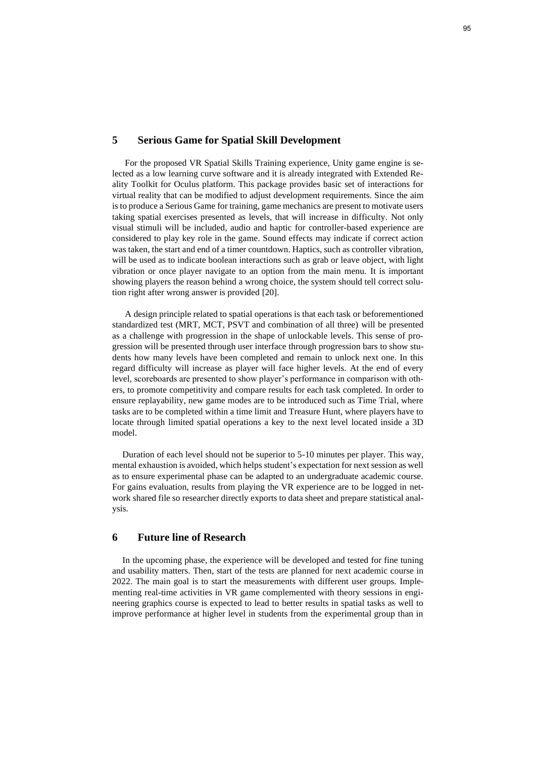### **5 Serious Game for Spatial Skill Development**

For the proposed VR Spatial Skills Training experience, Unity game engine is selected as a low learning curve software and it is already integrated with Extended Reality Toolkit for Oculus platform. This package provides basic set of interactions for virtual reality that can be modified to adjust development requirements. Since the aim is to produce a Serious Game for training, game mechanics are present to motivate users taking spatial exercises presented as levels, that will increase in difficulty. Not only visual stimuli will be included, audio and haptic for controller-based experience are considered to play key role in the game. Sound effects may indicate if correct action was taken, the start and end of a timer countdown. Haptics, such as controller vibration, will be used as to indicate boolean interactions such as grab or leave object, with light vibration or once player navigate to an option from the main menu. It is important showing players the reason behind a wrong choice, the system should tell correct solution right after wrong answer is provided [20].

A design principle related to spatial operations is that each task or beforementioned standardized test (MRT, MCT, PSVT and combination of all three) will be presented as a challenge with progression in the shape of unlockable levels. This sense of progression will be presented through user interface through progression bars to show students how many levels have been completed and remain to unlock next one. In this regard difficulty will increase as player will face higher levels. At the end of every level, scoreboards are presented to show player's performance in comparison with others, to promote competitivity and compare results for each task completed. In order to ensure replayability, new game modes are to be introduced such as Time Trial, where tasks are to be completed within a time limit and Treasure Hunt, where players have to locate through limited spatial operations a key to the next level located inside a 3D model.

Duration of each level should not be superior to 5-10 minutes per player. This way, mental exhaustion is avoided, which helps student's expectation for next session as well as to ensure experimental phase can be adapted to an undergraduate academic course. For gains evaluation, results from playing the VR experience are to be logged in network shared file so researcher directly exports to data sheet and prepare statistical analysis.

## **6 Future line of Research**

In the upcoming phase, the experience will be developed and tested for fine tuning and usability matters. Then, start of the tests are planned for next academic course in 2022. The main goal is to start the measurements with different user groups. Implementing real-time activities in VR game complemented with theory sessions in engineering graphics course is expected to lead to better results in spatial tasks as well to improve performance at higher level in students from the experimental group than in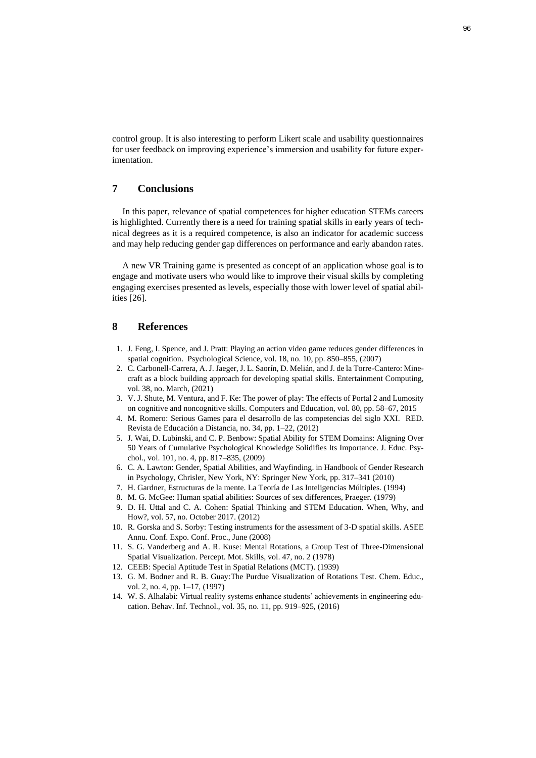control group. It is also interesting to perform Likert scale and usability questionnaires for user feedback on improving experience's immersion and usability for future experimentation.

# **7 Conclusions**

In this paper, relevance of spatial competences for higher education STEMs careers is highlighted. Currently there is a need for training spatial skills in early years of technical degrees as it is a required competence, is also an indicator for academic success and may help reducing gender gap differences on performance and early abandon rates.

A new VR Training game is presented as concept of an application whose goal is to engage and motivate users who would like to improve their visual skills by completing engaging exercises presented as levels, especially those with lower level of spatial abilities [26].

## **8 References**

- 1. J. Feng, I. Spence, and J. Pratt: Playing an action video game reduces gender differences in spatial cognition. Psychological Science, vol. 18, no. 10, pp. 850–855, (2007)
- 2. C. Carbonell-Carrera, A. J. Jaeger, J. L. Saorín, D. Melián, and J. de la Torre-Cantero: Minecraft as a block building approach for developing spatial skills. Entertainment Computing, vol. 38, no. March, (2021)
- 3. V. J. Shute, M. Ventura, and F. Ke: The power of play: The effects of Portal 2 and Lumosity on cognitive and noncognitive skills. Computers and Education, vol. 80, pp. 58–67, 2015
- 4. M. Romero: Serious Games para el desarrollo de las competencias del siglo XXI. RED. Revista de Educación a Distancia, no. 34, pp. 1–22, (2012)
- 5. J. Wai, D. Lubinski, and C. P. Benbow: Spatial Ability for STEM Domains: Aligning Over 50 Years of Cumulative Psychological Knowledge Solidifies Its Importance. J. Educ. Psychol., vol. 101, no. 4, pp. 817–835, (2009)
- 6. C. A. Lawton: Gender, Spatial Abilities, and Wayfinding. in Handbook of Gender Research in Psychology, Chrisler, New York, NY: Springer New York, pp. 317–341 (2010)
- 7. H. Gardner, Estructuras de la mente. La Teoría de Las Inteligencias Múltiples. (1994)
- 8. M. G. McGee: Human spatial abilities: Sources of sex differences, Praeger. (1979)
- 9. D. H. Uttal and C. A. Cohen: Spatial Thinking and STEM Education. When, Why, and How?, vol. 57, no. October 2017. (2012)
- 10. R. Gorska and S. Sorby: Testing instruments for the assessment of 3-D spatial skills. ASEE Annu. Conf. Expo. Conf. Proc., June (2008)
- 11. S. G. Vanderberg and A. R. Kuse: Mental Rotations, a Group Test of Three-Dimensional Spatial Visualization. Percept. Mot. Skills, vol. 47, no. 2 (1978)
- 12. CEEB: Special Aptitude Test in Spatial Relations (MCT). (1939)
- 13. G. M. Bodner and R. B. Guay:The Purdue Visualization of Rotations Test. Chem. Educ., vol. 2, no. 4, pp. 1–17, (1997)
- 14. W. S. Alhalabi: Virtual reality systems enhance students' achievements in engineering education. Behav. Inf. Technol., vol. 35, no. 11, pp. 919–925, (2016)